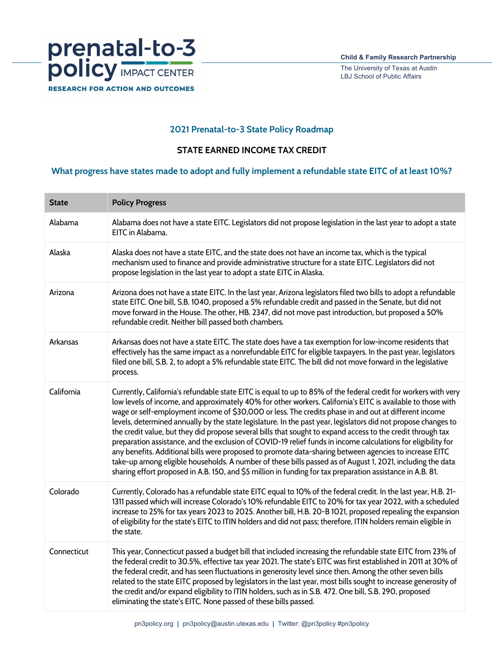

The University of Texas at Austin LBJ School of Public Affairs

## **2021 Prenatal-to-3 State Policy Roadmap**

## **STATE EARNED INCOME TAX CREDIT**

## **What progress have states made to adopt and fully implement a refundable state EITC of at least 10%?**

| <b>State</b> | <b>Policy Progress</b>                                                                                                                                                                                                                                                                                                                                                                                                                                                                                                                                                                                                                                                                                                                                                                                                                                                                                                                                                                                                         |
|--------------|--------------------------------------------------------------------------------------------------------------------------------------------------------------------------------------------------------------------------------------------------------------------------------------------------------------------------------------------------------------------------------------------------------------------------------------------------------------------------------------------------------------------------------------------------------------------------------------------------------------------------------------------------------------------------------------------------------------------------------------------------------------------------------------------------------------------------------------------------------------------------------------------------------------------------------------------------------------------------------------------------------------------------------|
| Alabama      | Alabama does not have a state EITC. Legislators did not propose legislation in the last year to adopt a state<br>EITC in Alabama.                                                                                                                                                                                                                                                                                                                                                                                                                                                                                                                                                                                                                                                                                                                                                                                                                                                                                              |
| Alaska       | Alaska does not have a state EITC, and the state does not have an income tax, which is the typical<br>mechanism used to finance and provide administrative structure for a state EITC. Legislators did not<br>propose legislation in the last year to adopt a state EITC in Alaska.                                                                                                                                                                                                                                                                                                                                                                                                                                                                                                                                                                                                                                                                                                                                            |
| Arizona      | Arizona does not have a state EITC. In the last year, Arizona legislators filed two bills to adopt a refundable<br>state EITC. One bill, S.B. 1040, proposed a 5% refundable credit and passed in the Senate, but did not<br>move forward in the House. The other, HB. 2347, did not move past introduction, but proposed a 50%<br>refundable credit. Neither bill passed both chambers.                                                                                                                                                                                                                                                                                                                                                                                                                                                                                                                                                                                                                                       |
| Arkansas     | Arkansas does not have a state EITC. The state does have a tax exemption for low-income residents that<br>effectively has the same impact as a nonrefundable EITC for eligible taxpayers. In the past year, legislators<br>filed one bill, S.B. 2, to adopt a 5% refundable state EITC. The bill did not move forward in the legislative<br>process.                                                                                                                                                                                                                                                                                                                                                                                                                                                                                                                                                                                                                                                                           |
| California   | Currently, California's refundable state EITC is equal to up to 85% of the federal credit for workers with very<br>low levels of income, and approximately 40% for other workers. California's EITC is available to those with<br>wage or self-employment income of \$30,000 or less. The credits phase in and out at different income<br>levels, determined annually by the state legislature. In the past year, legislators did not propose changes to<br>the credit value, but they did propose several bills that sought to expand access to the credit through tax<br>preparation assistance, and the exclusion of COVID-19 relief funds in income calculations for eligibility for<br>any benefits. Additional bills were proposed to promote data-sharing between agencies to increase EITC<br>take-up among eligible households. A number of these bills passed as of August 1, 2021, including the data<br>sharing effort proposed in A.B. 150, and \$5 million in funding for tax preparation assistance in A.B. 81. |
| Colorado     | Currently, Colorado has a refundable state EITC equal to 10% of the federal credit. In the last year, H.B. 21-<br>1311 passed which will increase Colorado's 10% refundable EITC to 20% for tax year 2022, with a scheduled<br>increase to 25% for tax years 2023 to 2025. Another bill, H.B. 20-B 1021, proposed repealing the expansion<br>of eligibility for the state's EITC to ITIN holders and did not pass; therefore, ITIN holders remain eligible in<br>the state.                                                                                                                                                                                                                                                                                                                                                                                                                                                                                                                                                    |
| Connecticut  | This year, Connecticut passed a budget bill that included increasing the refundable state EITC from 23% of<br>the federal credit to 30.5%, effective tax year 2021. The state's EITC was first established in 2011 at 30% of<br>the federal credit, and has seen fluctuations in generosity level since then. Among the other seven bills<br>related to the state EITC proposed by legislators in the last year, most bills sought to increase generosity of<br>the credit and/or expand eligibility to ITIN holders, such as in S.B. 472. One bill, S.B. 290, proposed<br>eliminating the state's EITC. None passed of these bills passed.                                                                                                                                                                                                                                                                                                                                                                                    |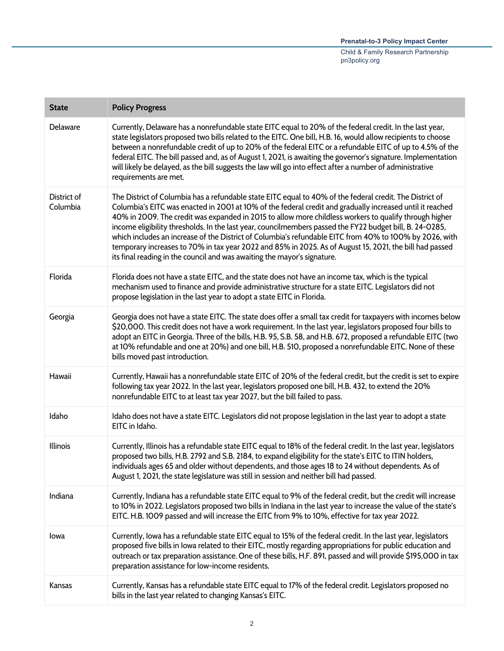| <b>State</b>            | <b>Policy Progress</b>                                                                                                                                                                                                                                                                                                                                                                                                                                                                                                                                                                                                                                                                                                                        |
|-------------------------|-----------------------------------------------------------------------------------------------------------------------------------------------------------------------------------------------------------------------------------------------------------------------------------------------------------------------------------------------------------------------------------------------------------------------------------------------------------------------------------------------------------------------------------------------------------------------------------------------------------------------------------------------------------------------------------------------------------------------------------------------|
| Delaware                | Currently, Delaware has a nonrefundable state EITC equal to 20% of the federal credit. In the last year,<br>state legislators proposed two bills related to the EITC. One bill, H.B. 16, would allow recipients to choose<br>between a nonrefundable credit of up to 20% of the federal EITC or a refundable EITC of up to 4.5% of the<br>federal EITC. The bill passed and, as of August 1, 2021, is awaiting the governor's signature. Implementation<br>will likely be delayed, as the bill suggests the law will go into effect after a number of administrative<br>requirements are met.                                                                                                                                                 |
| District of<br>Columbia | The District of Columbia has a refundable state EITC equal to 40% of the federal credit. The District of<br>Columbia's EITC was enacted in 2001 at 10% of the federal credit and gradually increased until it reached<br>40% in 2009. The credit was expanded in 2015 to allow more childless workers to qualify through higher<br>income eligibility thresholds. In the last year, councilmembers passed the FY22 budget bill, B. 24-0285,<br>which includes an increase of the District of Columbia's refundable EITC from 40% to 100% by 2026, with<br>temporary increases to 70% in tax year 2022 and 85% in 2025. As of August 15, 2021, the bill had passed<br>its final reading in the council and was awaiting the mayor's signature. |
| Florida                 | Florida does not have a state EITC, and the state does not have an income tax, which is the typical<br>mechanism used to finance and provide administrative structure for a state EITC. Legislators did not<br>propose legislation in the last year to adopt a state EITC in Florida.                                                                                                                                                                                                                                                                                                                                                                                                                                                         |
| Georgia                 | Georgia does not have a state EITC. The state does offer a small tax credit for taxpayers with incomes below<br>\$20,000. This credit does not have a work requirement. In the last year, legislators proposed four bills to<br>adopt an EITC in Georgia. Three of the bills, H.B. 95, S.B. 58, and H.B. 672, proposed a refundable EITC (two<br>at 10% refundable and one at 20%) and one bill, H.B. 510, proposed a nonrefundable EITC. None of these<br>bills moved past introduction.                                                                                                                                                                                                                                                     |
| Hawaii                  | Currently, Hawaii has a nonrefundable state EITC of 20% of the federal credit, but the credit is set to expire<br>following tax year 2022. In the last year, legislators proposed one bill, H.B. 432, to extend the 20%<br>nonrefundable EITC to at least tax year 2027, but the bill failed to pass.                                                                                                                                                                                                                                                                                                                                                                                                                                         |
| Idaho                   | Idaho does not have a state EITC. Legislators did not propose legislation in the last year to adopt a state<br>EITC in Idaho.                                                                                                                                                                                                                                                                                                                                                                                                                                                                                                                                                                                                                 |
| Illinois                | Currently, Illinois has a refundable state EITC equal to 18% of the federal credit. In the last year, legislators<br>proposed two bills, H.B. 2792 and S.B. 2184, to expand eligibility for the state's EITC to ITIN holders,<br>individuals ages 65 and older without dependents, and those ages 18 to 24 without dependents. As of<br>August 1, 2021, the state legislature was still in session and neither bill had passed.                                                                                                                                                                                                                                                                                                               |
| Indiana                 | Currently, Indiana has a refundable state EITC equal to 9% of the federal credit, but the credit will increase<br>to 10% in 2022. Legislators proposed two bills in Indiana in the last year to increase the value of the state's<br>EITC. H.B. 1009 passed and will increase the EITC from 9% to 10%, effective for tax year 2022.                                                                                                                                                                                                                                                                                                                                                                                                           |
| lowa                    | Currently, Iowa has a refundable state EITC equal to 15% of the federal credit. In the last year, legislators<br>proposed five bills in Iowa related to their EITC, mostly regarding appropriations for public education and<br>outreach or tax preparation assistance. One of these bills, H.F. 891, passed and will provide \$195,000 in tax<br>preparation assistance for low-income residents.                                                                                                                                                                                                                                                                                                                                            |
| Kansas                  | Currently, Kansas has a refundable state EITC equal to 17% of the federal credit. Legislators proposed no<br>bills in the last year related to changing Kansas's EITC.                                                                                                                                                                                                                                                                                                                                                                                                                                                                                                                                                                        |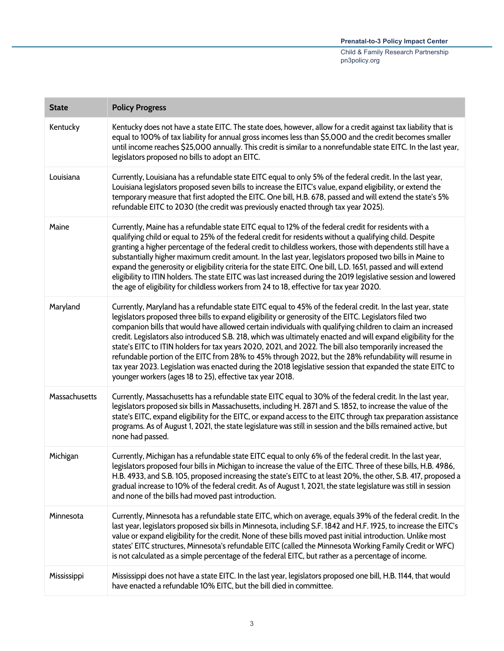| <b>State</b>  | <b>Policy Progress</b>                                                                                                                                                                                                                                                                                                                                                                                                                                                                                                                                                                                                                                                                                                                                                                                                                                 |
|---------------|--------------------------------------------------------------------------------------------------------------------------------------------------------------------------------------------------------------------------------------------------------------------------------------------------------------------------------------------------------------------------------------------------------------------------------------------------------------------------------------------------------------------------------------------------------------------------------------------------------------------------------------------------------------------------------------------------------------------------------------------------------------------------------------------------------------------------------------------------------|
| Kentucky      | Kentucky does not have a state EITC. The state does, however, allow for a credit against tax liability that is<br>equal to 100% of tax liability for annual gross incomes less than \$5,000 and the credit becomes smaller<br>until income reaches \$25,000 annually. This credit is similar to a nonrefundable state EITC. In the last year,<br>legislators proposed no bills to adopt an EITC.                                                                                                                                                                                                                                                                                                                                                                                                                                                       |
| Louisiana     | Currently, Louisiana has a refundable state EITC equal to only 5% of the federal credit. In the last year,<br>Louisiana legislators proposed seven bills to increase the EITC's value, expand eligibility, or extend the<br>temporary measure that first adopted the EITC. One bill, H.B. 678, passed and will extend the state's 5%<br>refundable EITC to 2030 (the credit was previously enacted through tax year 2025).                                                                                                                                                                                                                                                                                                                                                                                                                             |
| Maine         | Currently, Maine has a refundable state EITC equal to 12% of the federal credit for residents with a<br>qualifying child or equal to 25% of the federal credit for residents without a qualifying child. Despite<br>granting a higher percentage of the federal credit to childless workers, those with dependents still have a<br>substantially higher maximum credit amount. In the last year, legislators proposed two bills in Maine to<br>expand the generosity or eligibility criteria for the state EITC. One bill, L.D. 1651, passed and will extend<br>eligibility to ITIN holders. The state EITC was last increased during the 2019 legislative session and lowered<br>the age of eligibility for childless workers from 24 to 18, effective for tax year 2020.                                                                             |
| Maryland      | Currently, Maryland has a refundable state EITC equal to 45% of the federal credit. In the last year, state<br>legislators proposed three bills to expand eligibility or generosity of the EITC. Legislators filed two<br>companion bills that would have allowed certain individuals with qualifying children to claim an increased<br>credit. Legislators also introduced S.B. 218, which was ultimately enacted and will expand eligibility for the<br>state's EITC to ITIN holders for tax years 2020, 2021, and 2022. The bill also temporarily increased the<br>refundable portion of the EITC from 28% to 45% through 2022, but the 28% refundability will resume in<br>tax year 2023. Legislation was enacted during the 2018 legislative session that expanded the state EITC to<br>younger workers (ages 18 to 25), effective tax year 2018. |
| Massachusetts | Currently, Massachusetts has a refundable state EITC equal to 30% of the federal credit. In the last year,<br>legislators proposed six bills in Massachusetts, including H. 2871 and S. 1852, to increase the value of the<br>state's EITC, expand eligibility for the EITC, or expand access to the EITC through tax preparation assistance<br>programs. As of August 1, 2021, the state legislature was still in session and the bills remained active, but<br>none had passed.                                                                                                                                                                                                                                                                                                                                                                      |
| Michigan      | Currently, Michigan has a refundable state EITC equal to only 6% of the federal credit. In the last year,<br>legislators proposed four bills in Michigan to increase the value of the EITC. Three of these bills, H.B. 4986,<br>H.B. 4933, and S.B. 105, proposed increasing the state's EITC to at least 20%, the other, S.B. 417, proposed a<br>gradual increase to 10% of the federal credit. As of August 1, 2021, the state legislature was still in session<br>and none of the bills had moved past introduction.                                                                                                                                                                                                                                                                                                                                |
| Minnesota     | Currently, Minnesota has a refundable state EITC, which on average, equals 39% of the federal credit. In the<br>last year, legislators proposed six bills in Minnesota, including S.F. 1842 and H.F. 1925, to increase the EITC's<br>value or expand eligibility for the credit. None of these bills moved past initial introduction. Unlike most<br>states' EITC structures, Minnesota's refundable EITC (called the Minnesota Working Family Credit or WFC)<br>is not calculated as a simple percentage of the federal EITC, but rather as a percentage of income.                                                                                                                                                                                                                                                                                   |
| Mississippi   | Mississippi does not have a state EITC. In the last year, legislators proposed one bill, H.B. 1144, that would<br>have enacted a refundable 10% EITC, but the bill died in committee.                                                                                                                                                                                                                                                                                                                                                                                                                                                                                                                                                                                                                                                                  |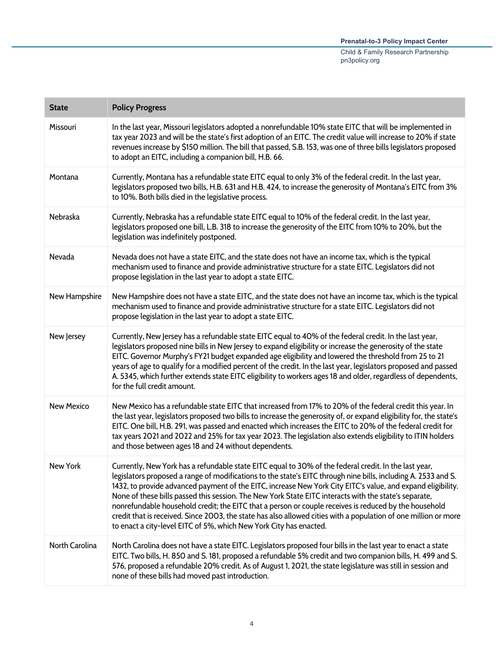| <b>State</b>      | <b>Policy Progress</b>                                                                                                                                                                                                                                                                                                                                                                                                                                                                                                                                                                                                                                                                                                                            |
|-------------------|---------------------------------------------------------------------------------------------------------------------------------------------------------------------------------------------------------------------------------------------------------------------------------------------------------------------------------------------------------------------------------------------------------------------------------------------------------------------------------------------------------------------------------------------------------------------------------------------------------------------------------------------------------------------------------------------------------------------------------------------------|
| Missouri          | In the last year, Missouri legislators adopted a nonrefundable 10% state EITC that will be implemented in<br>tax year 2023 and will be the state's first adoption of an EITC. The credit value will increase to 20% if state<br>revenues increase by \$150 million. The bill that passed, S.B. 153, was one of three bills legislators proposed<br>to adopt an EITC, including a companion bill, H.B. 66.                                                                                                                                                                                                                                                                                                                                         |
| Montana           | Currently, Montana has a refundable state EITC equal to only 3% of the federal credit. In the last year,<br>legislators proposed two bills, H.B. 631 and H.B. 424, to increase the generosity of Montana's EITC from 3%<br>to 10%. Both bills died in the legislative process.                                                                                                                                                                                                                                                                                                                                                                                                                                                                    |
| Nebraska          | Currently, Nebraska has a refundable state EITC equal to 10% of the federal credit. In the last year,<br>legislators proposed one bill, L.B. 318 to increase the generosity of the EITC from 10% to 20%, but the<br>legislation was indefinitely postponed.                                                                                                                                                                                                                                                                                                                                                                                                                                                                                       |
| Nevada            | Nevada does not have a state EITC, and the state does not have an income tax, which is the typical<br>mechanism used to finance and provide administrative structure for a state EITC. Legislators did not<br>propose legislation in the last year to adopt a state EITC.                                                                                                                                                                                                                                                                                                                                                                                                                                                                         |
| New Hampshire     | New Hampshire does not have a state EITC, and the state does not have an income tax, which is the typical<br>mechanism used to finance and provide administrative structure for a state EITC. Legislators did not<br>propose legislation in the last year to adopt a state EITC.                                                                                                                                                                                                                                                                                                                                                                                                                                                                  |
| New Jersey        | Currently, New Jersey has a refundable state EITC equal to 40% of the federal credit. In the last year,<br>legislators proposed nine bills in New Jersey to expand eligibility or increase the generosity of the state<br>EITC. Governor Murphy's FY21 budget expanded age eligibility and lowered the threshold from 25 to 21<br>years of age to qualify for a modified percent of the credit. In the last year, legislators proposed and passed<br>A. 5345, which further extends state EITC eligibility to workers ages 18 and older, regardless of dependents,<br>for the full credit amount.                                                                                                                                                 |
| <b>New Mexico</b> | New Mexico has a refundable state EITC that increased from 17% to 20% of the federal credit this year. In<br>the last year, legislators proposed two bills to increase the generosity of, or expand eligibility for, the state's<br>EITC. One bill, H.B. 291, was passed and enacted which increases the EITC to 20% of the federal credit for<br>tax years 2021 and 2022 and 25% for tax year 2023. The legislation also extends eligibility to ITIN holders<br>and those between ages 18 and 24 without dependents.                                                                                                                                                                                                                             |
| New York          | Currently, New York has a refundable state EITC equal to 30% of the federal credit. In the last year,<br>legislators proposed a range of modifications to the state's EITC through nine bills, including A. 2533 and S.<br>1432, to provide advanced payment of the EITC, increase New York City EITC's value, and expand eligibility.<br>None of these bills passed this session. The New York State EITC interacts with the state's separate,<br>nonrefundable household credit; the EITC that a person or couple receives is reduced by the household<br>credit that is received. Since 2003, the state has also allowed cities with a population of one million or more<br>to enact a city-level EITC of 5%, which New York City has enacted. |
| North Carolina    | North Carolina does not have a state EITC. Legislators proposed four bills in the last year to enact a state<br>EITC. Two bills, H. 850 and S. 181, proposed a refundable 5% credit and two companion bills, H. 499 and S.<br>576, proposed a refundable 20% credit. As of August 1, 2021, the state legislature was still in session and<br>none of these bills had moved past introduction.                                                                                                                                                                                                                                                                                                                                                     |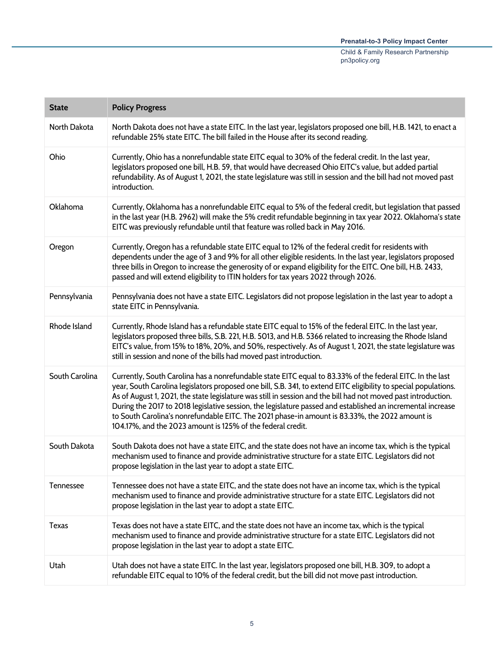| <b>State</b>   | <b>Policy Progress</b>                                                                                                                                                                                                                                                                                                                                                                                                                                                                                                                                                                                                          |
|----------------|---------------------------------------------------------------------------------------------------------------------------------------------------------------------------------------------------------------------------------------------------------------------------------------------------------------------------------------------------------------------------------------------------------------------------------------------------------------------------------------------------------------------------------------------------------------------------------------------------------------------------------|
| North Dakota   | North Dakota does not have a state EITC. In the last year, legislators proposed one bill, H.B. 1421, to enact a<br>refundable 25% state EITC. The bill failed in the House after its second reading.                                                                                                                                                                                                                                                                                                                                                                                                                            |
| Ohio           | Currently, Ohio has a nonrefundable state EITC equal to 30% of the federal credit. In the last year,<br>legislators proposed one bill, H.B. 59, that would have decreased Ohio EITC's value, but added partial<br>refundability. As of August 1, 2021, the state legislature was still in session and the bill had not moved past<br>introduction.                                                                                                                                                                                                                                                                              |
| Oklahoma       | Currently, Oklahoma has a nonrefundable EITC equal to 5% of the federal credit, but legislation that passed<br>in the last year (H.B. 2962) will make the 5% credit refundable beginning in tax year 2022. Oklahoma's state<br>EITC was previously refundable until that feature was rolled back in May 2016.                                                                                                                                                                                                                                                                                                                   |
| Oregon         | Currently, Oregon has a refundable state EITC equal to 12% of the federal credit for residents with<br>dependents under the age of 3 and 9% for all other eligible residents. In the last year, legislators proposed<br>three bills in Oregon to increase the generosity of or expand eligibility for the EITC. One bill, H.B. 2433,<br>passed and will extend eligibility to ITIN holders for tax years 2022 through 2026.                                                                                                                                                                                                     |
| Pennsylvania   | Pennsylvania does not have a state EITC. Legislators did not propose legislation in the last year to adopt a<br>state EITC in Pennsylvania.                                                                                                                                                                                                                                                                                                                                                                                                                                                                                     |
| Rhode Island   | Currently, Rhode Island has a refundable state EITC equal to 15% of the federal EITC. In the last year,<br>legislators proposed three bills, S.B. 221, H.B. 5013, and H.B. 5366 related to increasing the Rhode Island<br>EITC's value, from 15% to 18%, 20%, and 50%, respectively. As of August 1, 2021, the state legislature was<br>still in session and none of the bills had moved past introduction.                                                                                                                                                                                                                     |
| South Carolina | Currently, South Carolina has a nonrefundable state EITC equal to 83.33% of the federal EITC. In the last<br>year, South Carolina legislators proposed one bill, S.B. 341, to extend EITC eligibility to special populations.<br>As of August 1, 2021, the state legislature was still in session and the bill had not moved past introduction.<br>During the 2017 to 2018 legislative session, the legislature passed and established an incremental increase<br>to South Carolina's nonrefundable EITC. The 2021 phase-in amount is 83.33%, the 2022 amount is<br>104.17%, and the 2023 amount is 125% of the federal credit. |
| South Dakota   | South Dakota does not have a state EITC, and the state does not have an income tax, which is the typical<br>mechanism used to finance and provide administrative structure for a state EITC. Legislators did not<br>propose legislation in the last year to adopt a state EITC.                                                                                                                                                                                                                                                                                                                                                 |
| Tennessee      | Tennessee does not have a state EITC, and the state does not have an income tax, which is the typical<br>mechanism used to finance and provide administrative structure for a state EITC. Legislators did not<br>propose legislation in the last year to adopt a state EITC.                                                                                                                                                                                                                                                                                                                                                    |
| <b>Texas</b>   | Texas does not have a state EITC, and the state does not have an income tax, which is the typical<br>mechanism used to finance and provide administrative structure for a state EITC. Legislators did not<br>propose legislation in the last year to adopt a state EITC.                                                                                                                                                                                                                                                                                                                                                        |
| Utah           | Utah does not have a state EITC. In the last year, legislators proposed one bill, H.B. 309, to adopt a<br>refundable EITC equal to 10% of the federal credit, but the bill did not move past introduction.                                                                                                                                                                                                                                                                                                                                                                                                                      |